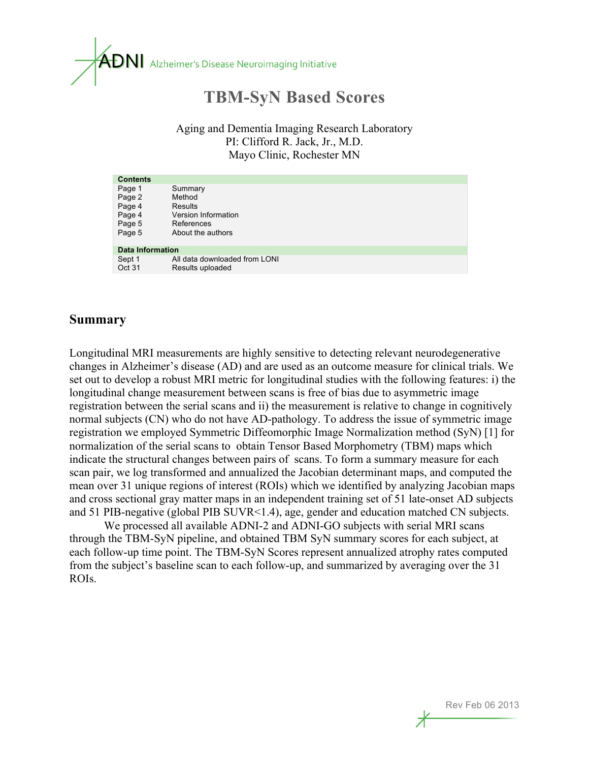

# **TBM-SyN Based Scores**

Aging and Dementia Imaging Research Laboratory PI: Clifford R. Jack, Jr., M.D. Mayo Clinic, Rochester MN

| <b>Contents</b>         |                               |  |
|-------------------------|-------------------------------|--|
| Page 1                  | Summary                       |  |
| Page 2                  | Method                        |  |
| Page 4                  | Results                       |  |
| Page 4                  | Version Information           |  |
| Page 5                  | References                    |  |
| Page 5                  | About the authors             |  |
|                         |                               |  |
| <b>Data Information</b> |                               |  |
| Sept 1                  | All data downloaded from LONI |  |
| Oct 31                  | Results uploaded              |  |

#### **Summary**

Longitudinal MRI measurements are highly sensitive to detecting relevant neurodegenerative changes in Alzheimer's disease (AD) and are used as an outcome measure for clinical trials. We set out to develop a robust MRI metric for longitudinal studies with the following features: i) the longitudinal change measurement between scans is free of bias due to asymmetric image registration between the serial scans and ii) the measurement is relative to change in cognitively normal subjects (CN) who do not have AD-pathology. To address the issue of symmetric image registration we employed Symmetric Diffeomorphic Image Normalization method (SyN) [1] for normalization of the serial scans to obtain Tensor Based Morphometry (TBM) maps which indicate the structural changes between pairs of scans. To form a summary measure for each scan pair, we log transformed and annualized the Jacobian determinant maps, and computed the mean over 31 unique regions of interest (ROIs) which we identified by analyzing Jacobian maps and cross sectional gray matter maps in an independent training set of 51 late-onset AD subjects and 51 PIB-negative (global PIB SUVR<1.4), age, gender and education matched CN subjects.

We processed all available ADNI-2 and ADNI-GO subjects with serial MRI scans through the TBM-SyN pipeline, and obtained TBM SyN summary scores for each subject, at each follow-up time point. The TBM-SyN Scores represent annualized atrophy rates computed from the subject's baseline scan to each follow-up, and summarized by averaging over the 31 ROIs.

Rev Feb 06 2013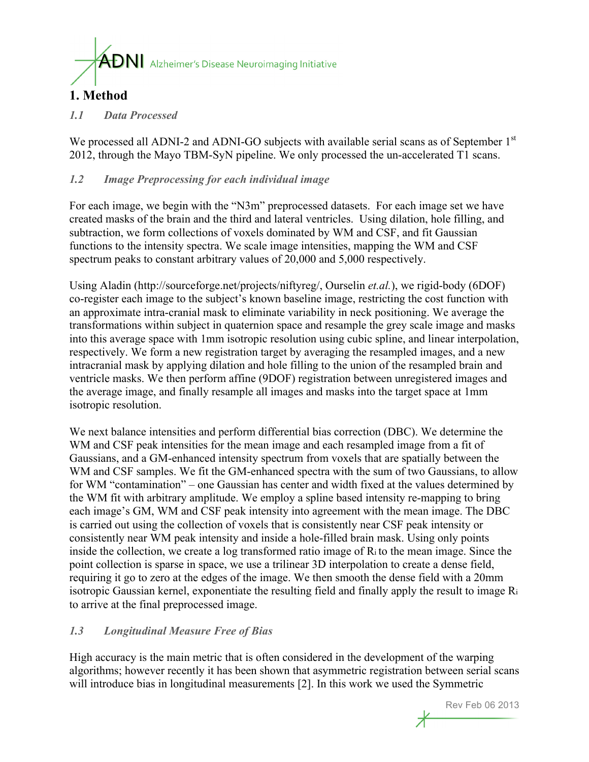

## **1. Method**

#### *1.1 Data Processed*

We processed all ADNI-2 and ADNI-GO subjects with available serial scans as of September 1st 2012, through the Mayo TBM-SyN pipeline. We only processed the un-accelerated T1 scans.

#### *1.2 Image Preprocessing for each individual image*

For each image, we begin with the "N3m" preprocessed datasets. For each image set we have created masks of the brain and the third and lateral ventricles. Using dilation, hole filling, and subtraction, we form collections of voxels dominated by WM and CSF, and fit Gaussian functions to the intensity spectra. We scale image intensities, mapping the WM and CSF spectrum peaks to constant arbitrary values of 20,000 and 5,000 respectively.

Using Aladin (http://sourceforge.net/projects/niftyreg/, Ourselin *et.al.*), we rigid-body (6DOF) co-register each image to the subject's known baseline image, restricting the cost function with an approximate intra-cranial mask to eliminate variability in neck positioning. We average the transformations within subject in quaternion space and resample the grey scale image and masks into this average space with 1mm isotropic resolution using cubic spline, and linear interpolation, respectively. We form a new registration target by averaging the resampled images, and a new intracranial mask by applying dilation and hole filling to the union of the resampled brain and ventricle masks. We then perform affine (9DOF) registration between unregistered images and the average image, and finally resample all images and masks into the target space at 1mm isotropic resolution.

We next balance intensities and perform differential bias correction (DBC). We determine the WM and CSF peak intensities for the mean image and each resampled image from a fit of Gaussians, and a GM-enhanced intensity spectrum from voxels that are spatially between the WM and CSF samples. We fit the GM-enhanced spectra with the sum of two Gaussians, to allow for WM "contamination" – one Gaussian has center and width fixed at the values determined by the WM fit with arbitrary amplitude. We employ a spline based intensity re-mapping to bring each image's GM, WM and CSF peak intensity into agreement with the mean image. The DBC is carried out using the collection of voxels that is consistently near CSF peak intensity or consistently near WM peak intensity and inside a hole-filled brain mask. Using only points inside the collection, we create a log transformed ratio image of Ri to the mean image. Since the point collection is sparse in space, we use a trilinear 3D interpolation to create a dense field, requiring it go to zero at the edges of the image. We then smooth the dense field with a 20mm isotropic Gaussian kernel, exponentiate the resulting field and finally apply the result to image Ri to arrive at the final preprocessed image.

#### *1.3 Longitudinal Measure Free of Bias*

High accuracy is the main metric that is often considered in the development of the warping algorithms; however recently it has been shown that asymmetric registration between serial scans will introduce bias in longitudinal measurements [2]. In this work we used the Symmetric

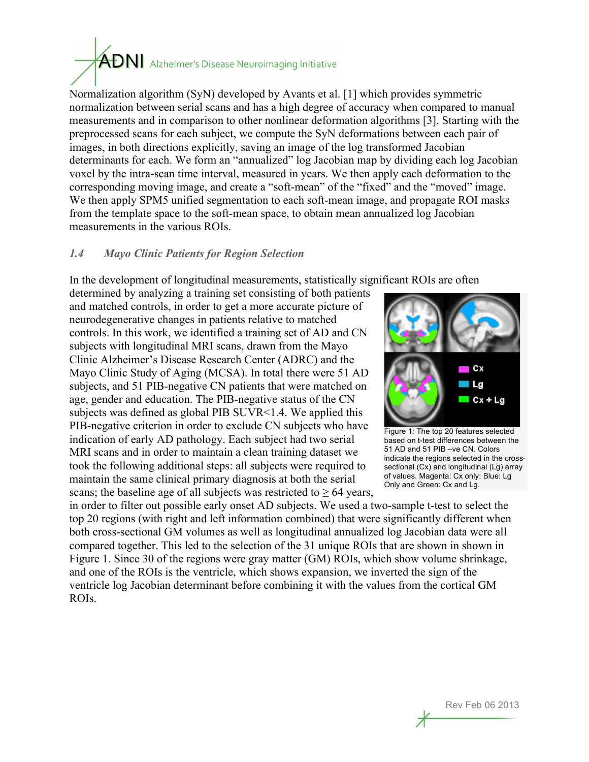# $\bm{\hat{\text{AD}}}$  Alzheimer's Disease Neuroimaging Initiative

Normalization algorithm (SyN) developed by Avants et al. [1] which provides symmetric normalization between serial scans and has a high degree of accuracy when compared to manual measurements and in comparison to other nonlinear deformation algorithms [3]. Starting with the preprocessed scans for each subject, we compute the SyN deformations between each pair of images, in both directions explicitly, saving an image of the log transformed Jacobian determinants for each. We form an "annualized" log Jacobian map by dividing each log Jacobian voxel by the intra-scan time interval, measured in years. We then apply each deformation to the corresponding moving image, and create a "soft-mean" of the "fixed" and the "moved" image. We then apply SPM5 unified segmentation to each soft-mean image, and propagate ROI masks from the template space to the soft-mean space, to obtain mean annualized log Jacobian measurements in the various ROIs.

#### *1.4 Mayo Clinic Patients for Region Selection*

In the development of longitudinal measurements, statistically significant ROIs are often

determined by analyzing a training set consisting of both patients and matched controls, in order to get a more accurate picture of neurodegenerative changes in patients relative to matched controls. In this work, we identified a training set of AD and CN subjects with longitudinal MRI scans, drawn from the Mayo Clinic Alzheimer's Disease Research Center (ADRC) and the Mayo Clinic Study of Aging (MCSA). In total there were 51 AD subjects, and 51 PIB-negative CN patients that were matched on age, gender and education. The PIB-negative status of the CN subjects was defined as global PIB SUVR<1.4. We applied this PIB-negative criterion in order to exclude CN subjects who have indication of early AD pathology. Each subject had two serial MRI scans and in order to maintain a clean training dataset we took the following additional steps: all subjects were required to maintain the same clinical primary diagnosis at both the serial scans; the baseline age of all subjects was restricted to  $\geq 64$  years,



Figure 1: The top 20 features selected based on t-test differences between the 51 AD and 51 PIB –ve CN. Colors indicate the regions selected in the crosssectional (Cx) and longitudinal (Lg) array of values. Magenta: Cx only; Blue: Lg Only and Green: Cx and Lg.

in order to filter out possible early onset AD subjects. We used a two-sample t-test to select the top 20 regions (with right and left information combined) that were significantly different when both cross-sectional GM volumes as well as longitudinal annualized log Jacobian data were all compared together. This led to the selection of the 31 unique ROIs that are shown in shown in Figure 1. Since 30 of the regions were gray matter (GM) ROIs, which show volume shrinkage, and one of the ROIs is the ventricle, which shows expansion, we inverted the sign of the ventricle log Jacobian determinant before combining it with the values from the cortical GM ROIs.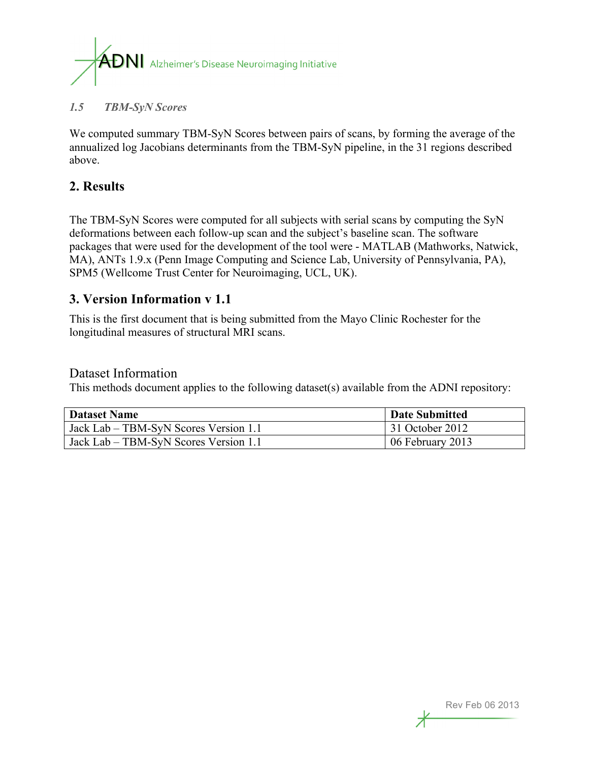

#### *1.5 TBM-SyN Scores*

We computed summary TBM-SyN Scores between pairs of scans, by forming the average of the annualized log Jacobians determinants from the TBM-SyN pipeline, in the 31 regions described above.

#### **2. Results**

The TBM-SyN Scores were computed for all subjects with serial scans by computing the SyN deformations between each follow-up scan and the subject's baseline scan. The software packages that were used for the development of the tool were - MATLAB (Mathworks, Natwick, MA), ANTs 1.9.x (Penn Image Computing and Science Lab, University of Pennsylvania, PA), SPM5 (Wellcome Trust Center for Neuroimaging, UCL, UK).

#### **3. Version Information v 1.1**

This is the first document that is being submitted from the Mayo Clinic Rochester for the longitudinal measures of structural MRI scans.

#### Dataset Information

This methods document applies to the following dataset(s) available from the ADNI repository:

| <b>Dataset Name</b>                   | Date Submitted   |
|---------------------------------------|------------------|
| Jack Lab – TBM-SyN Scores Version 1.1 | 31 October 2012  |
| Jack Lab – TBM-SyN Scores Version 1.1 | 06 February 2013 |